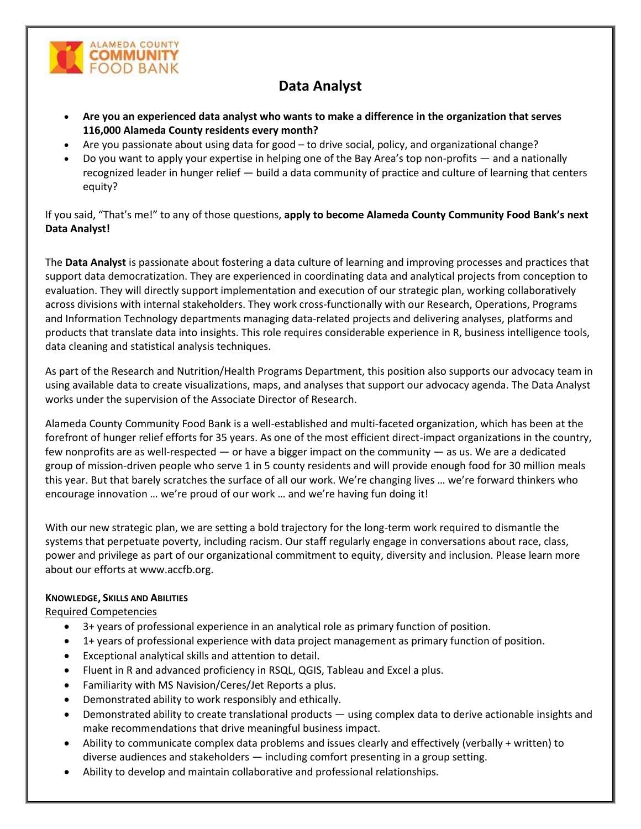

# **Data Analyst**

- **Are you an experienced data analyst who wants to make a difference in the organization that serves 116,000 Alameda County residents every month?**
- Are you passionate about using data for good to drive social, policy, and organizational change?
- Do you want to apply your expertise in helping one of the Bay Area's top non-profits and a nationally recognized leader in hunger relief — build a data community of practice and culture of learning that centers equity?

If you said, "That's me!" to any of those questions, **apply to become Alameda County Community Food Bank's next Data Analyst!**

The **Data Analyst** is passionate about fostering a data culture of learning and improving processes and practices that support data democratization. They are experienced in coordinating data and analytical projects from conception to evaluation. They will directly support implementation and execution of our strategic plan, working collaboratively across divisions with internal stakeholders. They work cross-functionally with our Research, Operations, Programs and Information Technology departments managing data-related projects and delivering analyses, platforms and products that translate data into insights. This role requires considerable experience in R, business intelligence tools, data cleaning and statistical analysis techniques.

As part of the Research and Nutrition/Health Programs Department, this position also supports our advocacy team in using available data to create visualizations, maps, and analyses that support our advocacy agenda. The Data Analyst works under the supervision of the Associate Director of Research.

Alameda County Community Food Bank is a well-established and multi-faceted organization, which has been at the forefront of hunger relief efforts for 35 years. As one of the most efficient direct-impact organizations in the country, few nonprofits are as well-respected — or have a bigger impact on the community — as us. We are a dedicated group of mission-driven people who serve 1 in 5 county residents and will provide enough food for 30 million meals this year. But that barely scratches the surface of all our work. We're changing lives … we're forward thinkers who encourage innovation … we're proud of our work … and we're having fun doing it!

With our new strategic plan, we are setting a bold trajectory for the long-term work required to dismantle the systems that perpetuate poverty, including racism. Our staff regularly engage in conversations about race, class, power and privilege as part of our organizational commitment to equity, diversity and inclusion. Please learn more about our efforts a[t www.accfb.org.](http://www.accfb.org/)

### **KNOWLEDGE, SKILLS AND ABILITIES**

Required Competencies

- 3+ years of professional experience in an analytical role as primary function of position.
- 1+ years of professional experience with data project management as primary function of position.
- Exceptional analytical skills and attention to detail.
- Fluent in R and advanced proficiency in RSQL, QGIS, Tableau and Excel a plus.
- Familiarity with MS Navision/Ceres/Jet Reports a plus.
- Demonstrated ability to work responsibly and ethically.
- Demonstrated ability to create translational products using complex data to derive actionable insights and make recommendations that drive meaningful business impact.
- Ability to communicate complex data problems and issues clearly and effectively (verbally + written) to diverse audiences and stakeholders — including comfort presenting in a group setting.
- Ability to develop and maintain collaborative and professional relationships.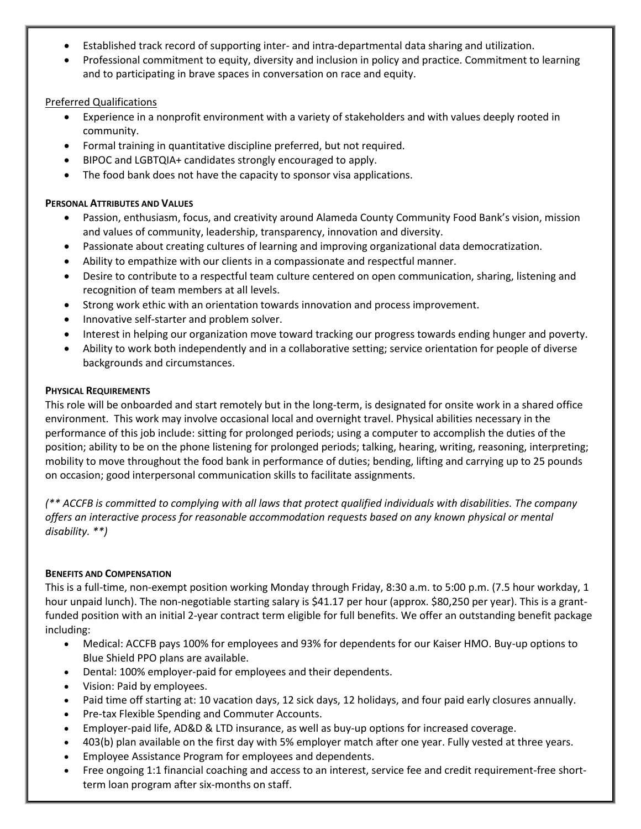- Established track record of supporting inter- and intra-departmental data sharing and utilization.
- Professional commitment to equity, diversity and inclusion in policy and practice. Commitment to learning and to participating in brave spaces in conversation on race and equity.

### Preferred Qualifications

- Experience in a nonprofit environment with a variety of stakeholders and with values deeply rooted in community.
- Formal training in quantitative discipline preferred, but not required.
- BIPOC and LGBTQIA+ candidates strongly encouraged to apply.
- The food bank does not have the capacity to sponsor visa applications.

# **PERSONAL ATTRIBUTES AND VALUES**

- Passion, enthusiasm, focus, and creativity around Alameda County Community Food Bank's vision, mission and values of community, leadership, transparency, innovation and diversity.
- Passionate about creating cultures of learning and improving organizational data democratization.
- Ability to empathize with our clients in a compassionate and respectful manner.
- Desire to contribute to a respectful team culture centered on open communication, sharing, listening and recognition of team members at all levels.
- Strong work ethic with an orientation towards innovation and process improvement.
- Innovative self-starter and problem solver.
- Interest in helping our organization move toward tracking our progress towards ending hunger and poverty.
- Ability to work both independently and in a collaborative setting; service orientation for people of diverse backgrounds and circumstances.

# **PHYSICAL REQUIREMENTS**

This role will be onboarded and start remotely but in the long-term, is designated for onsite work in a shared office environment. This work may involve occasional local and overnight travel. Physical abilities necessary in the performance of this job include: sitting for prolonged periods; using a computer to accomplish the duties of the position; ability to be on the phone listening for prolonged periods; talking, hearing, writing, reasoning, interpreting; mobility to move throughout the food bank in performance of duties; bending, lifting and carrying up to 25 pounds on occasion; good interpersonal communication skills to facilitate assignments.

*(\*\* ACCFB is committed to complying with all laws that protect qualified individuals with disabilities. The company offers an interactive process for reasonable accommodation requests based on any known physical or mental disability. \*\*)*

# **BENEFITS AND COMPENSATION**

This is a full-time, non-exempt position working Monday through Friday, 8:30 a.m. to 5:00 p.m. (7.5 hour workday, 1 hour unpaid lunch). The non-negotiable starting salary is \$41.17 per hour (approx. \$80,250 per year). This is a grantfunded position with an initial 2-year contract term eligible for full benefits. We offer an outstanding benefit package including:

- Medical: ACCFB pays 100% for employees and 93% for dependents for our Kaiser HMO. Buy-up options to Blue Shield PPO plans are available.
- Dental: 100% employer-paid for employees and their dependents.
- Vision: Paid by employees.
- Paid time off starting at: 10 vacation days, 12 sick days, 12 holidays, and four paid early closures annually.
- Pre-tax Flexible Spending and Commuter Accounts.
- Employer-paid life, AD&D & LTD insurance, as well as buy-up options for increased coverage.
- 403(b) plan available on the first day with 5% employer match after one year. Fully vested at three years.
- Employee Assistance Program for employees and dependents.
- Free ongoing 1:1 financial coaching and access to an interest, service fee and credit requirement-free shortterm loan program after six-months on staff.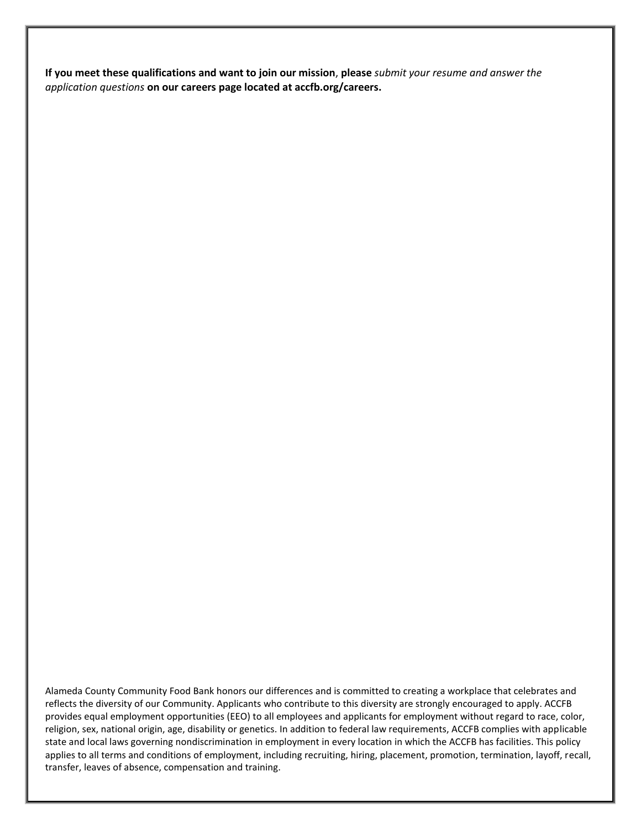**If you meet these qualifications and want to join our mission**, **please** *submit your resume and answer the application questions* **on our careers page located at accfb.org/careers.**

Alameda County Community Food Bank honors our differences and is committed to creating a workplace that celebrates and reflects the diversity of our Community. Applicants who contribute to this diversity are strongly encouraged to apply. ACCFB provides equal employment opportunities (EEO) to all employees and applicants for employment without regard to race, color, religion, sex, national origin, age, disability or genetics. In addition to federal law requirements, ACCFB complies with applicable state and local laws governing nondiscrimination in employment in every location in which the ACCFB has facilities. This policy applies to all terms and conditions of employment, including recruiting, hiring, placement, promotion, termination, layoff, recall, transfer, leaves of absence, compensation and training.